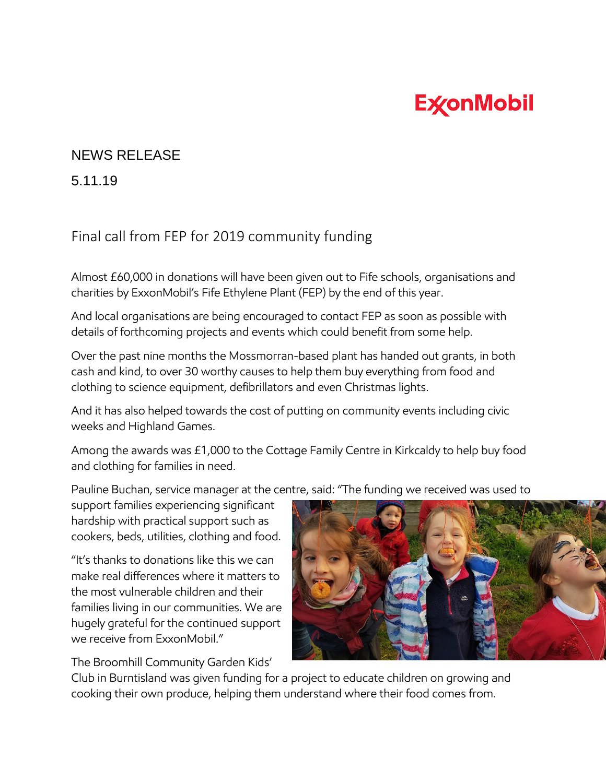## **ExconMobil**

## NEWS RELEASE

5.11.19

## Final call from FEP for 2019 community funding

Almost £60,000 in donations will have been given out to Fife schools, organisations and charities by ExxonMobil's Fife Ethylene Plant (FEP) by the end of this year.

And local organisations are being encouraged to contact FEP as soon as possible with details of forthcoming projects and events which could benefit from some help.

Over the past nine months the Mossmorran-based plant has handed out grants, in both cash and kind, to over 30 worthy causes to help them buy everything from food and clothing to science equipment, defibrillators and even Christmas lights.

And it has also helped towards the cost of putting on community events including civic weeks and Highland Games.

Among the awards was £1,000 to the Cottage Family Centre in Kirkcaldy to help buy food and clothing for families in need.

Pauline Buchan, service manager at the centre, said: "The funding we received was used to

support families experiencing significant hardship with practical support such as cookers, beds, utilities, clothing and food.

"It's thanks to donations like this we can make real differences where it matters to the most vulnerable children and their families living in our communities. We are hugely grateful for the continued support we receive from ExxonMobil."

The Broomhill Community Garden Kids'

Club in Burntisland was given funding for a project to educate children on growing and cooking their own produce, helping them understand where their food comes from.